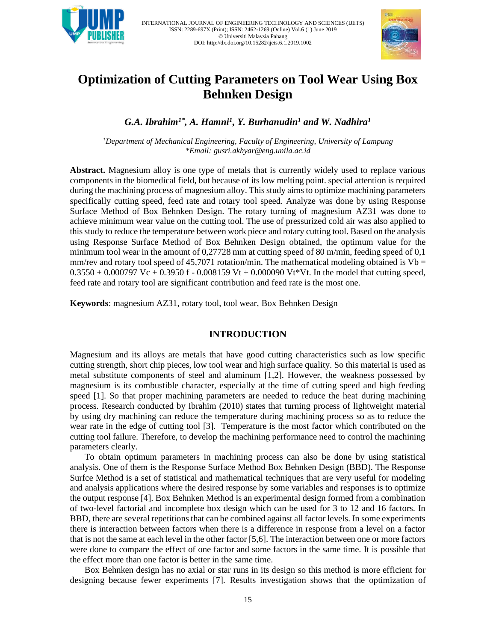



# **Optimization of Cutting Parameters on Tool Wear Using Box Behnken Design**

*G.A. Ibrahim1\* , A. Hamni<sup>1</sup> , Y. Burhanudin<sup>1</sup> and W. Nadhira<sup>1</sup>*

*<sup>1</sup>Department of Mechanical Engineering, Faculty of Engineering, University of Lampung \*Email[: gusri.akhyar@eng.unila.ac.id](mailto:gusri.akhyar@eng.unila.ac.id)*

**Abstract.** Magnesium alloy is one type of metals that is currently widely used to replace various components in the biomedical field, but because of its low melting point. special attention is required during the machining process of magnesium alloy. This study aims to optimize machining parameters specifically cutting speed, feed rate and rotary tool speed. Analyze was done by using Response Surface Method of Box Behnken Design. The rotary turning of magnesium AZ31 was done to achieve minimum wear value on the cutting tool. The use of pressurized cold air was also applied to this study to reduce the temperature between work piece and rotary cutting tool. Based on the analysis using Response Surface Method of Box Behnken Design obtained, the optimum value for the minimum tool wear in the amount of 0,27728 mm at cutting speed of 80 m/min, feeding speed of 0,1 mm/rev and rotary tool speed of 45,7071 rotation/min. The mathematical modeling obtained is  $Vb =$  $0.3550 + 0.000797$  Vc + 0.3950 f - 0.008159 Vt + 0.000090 Vt\*Vt. In the model that cutting speed, feed rate and rotary tool are significant contribution and feed rate is the most one.

**Keywords**: magnesium AZ31, rotary tool, tool wear, Box Behnken Design

# **INTRODUCTION**

Magnesium and its alloys are metals that have good cutting characteristics such as low specific cutting strength, short chip pieces, low tool wear and high surface quality. So this material is used as metal substitute components of steel and aluminum [1,2]. However, the weakness possessed by magnesium is its combustible character, especially at the time of cutting speed and high feeding speed [1]. So that proper machining parameters are needed to reduce the heat during machining process. Research conducted by Ibrahim (2010) states that turning process of lightweight material by using dry machining can reduce the temperature during machining process so as to reduce the wear rate in the edge of cutting tool [3]. Temperature is the most factor which contributed on the cutting tool failure. Therefore, to develop the machining performance need to control the machining parameters clearly.

To obtain optimum parameters in machining process can also be done by using statistical analysis. One of them is the Response Surface Method Box Behnken Design (BBD). The Response Surfce Method is a set of statistical and mathematical techniques that are very useful for modeling and analysis applications where the desired response by some variables and responses is to optimize the output response [4]. Box Behnken Method is an experimental design formed from a combination of two-level factorial and incomplete box design which can be used for 3 to 12 and 16 factors. In BBD, there are several repetitions that can be combined against all factor levels. In some experiments there is interaction between factors when there is a difference in response from a level on a factor that is not the same at each level in the other factor [5,6]. The interaction between one or more factors were done to compare the effect of one factor and some factors in the same time. It is possible that the effect more than one factor is better in the same time.

Box Behnken design has no axial or star runs in its design so this method is more efficient for designing because fewer experiments [7]. Results investigation shows that the optimization of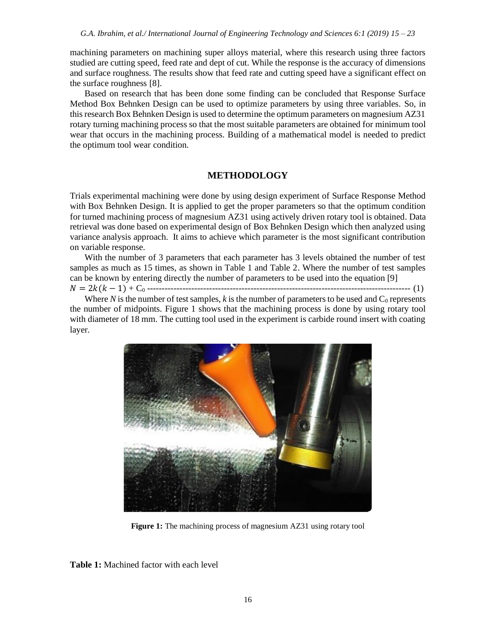machining parameters on machining super alloys material, where this research using three factors studied are cutting speed, feed rate and dept of cut. While the response is the accuracy of dimensions and surface roughness. The results show that feed rate and cutting speed have a significant effect on the surface roughness [8].

Based on research that has been done some finding can be concluded that Response Surface Method Box Behnken Design can be used to optimize parameters by using three variables. So, in this research Box Behnken Design is used to determine the optimum parameters on magnesium AZ31 rotary turning machining process so that the most suitable parameters are obtained for minimum tool wear that occurs in the machining process. Building of a mathematical model is needed to predict the optimum tool wear condition.

## **METHODOLOGY**

Trials experimental machining were done by using design experiment of Surface Response Method with Box Behnken Design. It is applied to get the proper parameters so that the optimum condition for turned machining process of magnesium AZ31 using actively driven rotary tool is obtained. Data retrieval was done based on experimental design of Box Behnken Design which then analyzed using variance analysis approach. It aims to achieve which parameter is the most significant contribution on variable response.

With the number of 3 parameters that each parameter has 3 levels obtained the number of test samples as much as 15 times, as shown in Table 1 and Table 2. Where the number of test samples can be known by entering directly the number of parameters to be used into the equation [9]

= 2( − 1) + C<sup>0</sup> ----------------------------------------------------------------------------------------- (1)

Where  $N$  is the number of test samples,  $k$  is the number of parameters to be used and  $C_0$  represents the number of midpoints. Figure 1 shows that the machining process is done by using rotary tool with diameter of 18 mm. The cutting tool used in the experiment is carbide round insert with coating layer.



**Figure 1:** The machining process of magnesium AZ31 using rotary tool

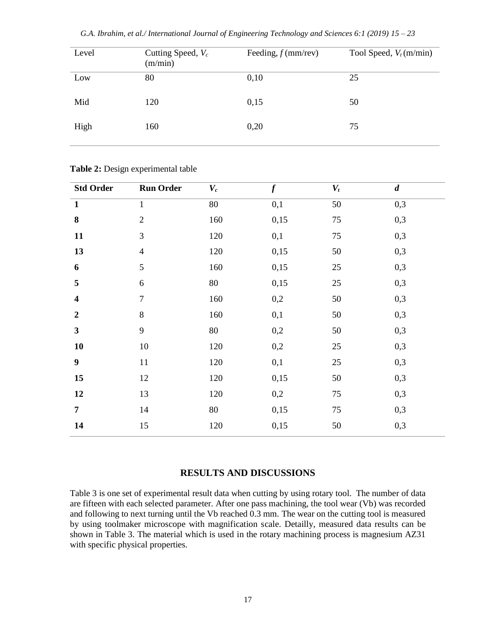| G.A. Ibrahim, et al./ International Journal of Engineering Technology and Sciences 6:1 (2019) 15 - 23 |  |  |  |
|-------------------------------------------------------------------------------------------------------|--|--|--|
|-------------------------------------------------------------------------------------------------------|--|--|--|

| Level | Cutting Speed, $V_c$<br>(m/min) | Feeding, $f$ (mm/rev) | Tool Speed, $V_t$ (m/min) |
|-------|---------------------------------|-----------------------|---------------------------|
| Low   | 80                              | 0,10                  | 25                        |
| Mid   | 120                             | 0,15                  | 50                        |
| High  | 160                             | 0,20                  | 75                        |

|  |  | Table 2: Design experimental table |  |
|--|--|------------------------------------|--|
|--|--|------------------------------------|--|

| 0,3<br>80<br>0,1<br>50<br>$\mathbf{1}$<br>$\mathbf{1}$<br>$\bf{8}$<br>0,3<br>$\sqrt{2}$<br>160<br>0,15<br>$75\,$<br>3<br>11<br>0,3<br>0,1<br>75<br>120<br>13<br>50<br>0,3<br>120<br>0,15<br>$\overline{4}$<br>5<br>0,3<br>$25\,$<br>6<br>160<br>0,15<br>5<br>0,3<br>$80\,$<br>0,15<br>$\sqrt{6}$<br>25 |
|--------------------------------------------------------------------------------------------------------------------------------------------------------------------------------------------------------------------------------------------------------------------------------------------------------|
|                                                                                                                                                                                                                                                                                                        |
|                                                                                                                                                                                                                                                                                                        |
|                                                                                                                                                                                                                                                                                                        |
|                                                                                                                                                                                                                                                                                                        |
|                                                                                                                                                                                                                                                                                                        |
|                                                                                                                                                                                                                                                                                                        |
| $\overline{7}$<br>0,3<br>0,2<br>50<br>$\overline{\mathbf{4}}$<br>160                                                                                                                                                                                                                                   |
| $8\,$<br>0,3<br>50<br>$\boldsymbol{2}$<br>160<br>0,1                                                                                                                                                                                                                                                   |
| 9<br>$\mathbf{3}$<br>0,3<br>80<br>0,2<br>50                                                                                                                                                                                                                                                            |
| 10<br>10<br>0,2<br>0,3<br>120<br>$25\,$                                                                                                                                                                                                                                                                |
| $\boldsymbol{9}$<br>25<br>0,3<br>$11\,$<br>0,1<br>120                                                                                                                                                                                                                                                  |
| 15<br>0,3<br>12<br>120<br>0,15<br>50                                                                                                                                                                                                                                                                   |
| 12<br>13<br>0,2<br>$75\,$<br>0,3<br>120                                                                                                                                                                                                                                                                |
| 0,3<br>$\overline{7}$<br>14<br>$75\,$<br>80<br>0,15                                                                                                                                                                                                                                                    |
| 0,3<br>15<br>0,15<br>50<br>14<br>120                                                                                                                                                                                                                                                                   |

## **RESULTS AND DISCUSSIONS**

Table 3 is one set of experimental result data when cutting by using rotary tool. The number of data are fifteen with each selected parameter. After one pass machining, the tool wear (Vb) was recorded and following to next turning until the Vb reached  $0.3$  mm. The wear on the cutting tool is measured by using toolmaker microscope with magnification scale. Detailly, measured data results can be shown in Table 3. The material which is used in the rotary machining process is magnesium AZ31 with specific physical properties.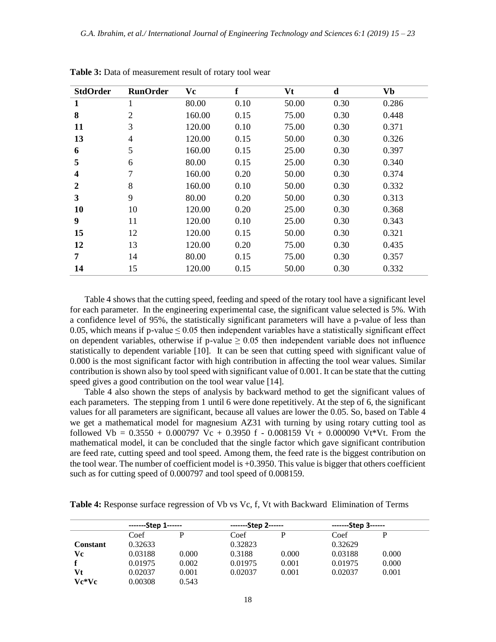| <b>StdOrder</b>  | <b>RunOrder</b> | Vc     | f    | Vt    | $\mathbf d$ | <b>Vb</b> |
|------------------|-----------------|--------|------|-------|-------------|-----------|
| 1                | 1               | 80.00  | 0.10 | 50.00 | 0.30        | 0.286     |
| 8                | $\overline{2}$  | 160.00 | 0.15 | 75.00 | 0.30        | 0.448     |
| 11               | 3               | 120.00 | 0.10 | 75.00 | 0.30        | 0.371     |
| 13               | $\overline{4}$  | 120.00 | 0.15 | 50.00 | 0.30        | 0.326     |
| 6                | 5               | 160.00 | 0.15 | 25.00 | 0.30        | 0.397     |
| 5                | 6               | 80.00  | 0.15 | 25.00 | 0.30        | 0.340     |
| $\boldsymbol{4}$ | 7               | 160.00 | 0.20 | 50.00 | 0.30        | 0.374     |
| 2                | 8               | 160.00 | 0.10 | 50.00 | 0.30        | 0.332     |
| 3                | 9               | 80.00  | 0.20 | 50.00 | 0.30        | 0.313     |
| 10               | 10              | 120.00 | 0.20 | 25.00 | 0.30        | 0.368     |
| 9                | 11              | 120.00 | 0.10 | 25.00 | 0.30        | 0.343     |
| 15               | 12              | 120.00 | 0.15 | 50.00 | 0.30        | 0.321     |
| 12               | 13              | 120.00 | 0.20 | 75.00 | 0.30        | 0.435     |
| 7                | 14              | 80.00  | 0.15 | 75.00 | 0.30        | 0.357     |
| 14               | 15              | 120.00 | 0.15 | 50.00 | 0.30        | 0.332     |

**Table 3:** Data of measurement result of rotary tool wear

Table 4 shows that the cutting speed, feeding and speed of the rotary tool have a significant level for each parameter. In the engineering experimental case, the significant value selected is 5%. With a confidence level of 95%, the statistically significant parameters will have a p-value of less than 0.05, which means if p-value  $\leq 0.05$  then independent variables have a statistically significant effect on dependent variables, otherwise if p-value  $\geq 0.05$  then independent variable does not influence statistically to dependent variable [10]. It can be seen that cutting speed with significant value of 0.000 is the most significant factor with high contribution in affecting the tool wear values. Similar contribution is shown also by tool speed with significant value of 0.001. It can be state that the cutting speed gives a good contribution on the tool wear value [14].

Table 4 also shown the steps of analysis by backward method to get the significant values of each parameters. The stepping from 1 until 6 were done repetitively. At the step of 6, the significant values for all parameters are significant, because all values are lower the 0.05. So, based on Table 4 we get a mathematical model for magnesium AZ31 with turning by using rotary cutting tool as followed Vb =  $0.3550 + 0.000797$  Vc + 0.3950 f - 0.008159 Vt + 0.000090 Vt\*Vt. From the mathematical model, it can be concluded that the single factor which gave significant contribution are feed rate, cutting speed and tool speed. Among them, the feed rate is the biggest contribution on the tool wear. The number of coefficient model is +0.3950. This value is bigger that others coefficient such as for cutting speed of 0.000797 and tool speed of 0.008159.

|                 | -------Step 1------ |       |         | -------Step 2------ |         | $---Step 3---$ |
|-----------------|---------------------|-------|---------|---------------------|---------|----------------|
|                 | Coef                |       | Coef    |                     | Coef    | P              |
| <b>Constant</b> | 0.32633             |       | 0.32823 |                     | 0.32629 |                |
| Vc              | 0.03188             | 0.000 | 0.3188  | 0.000               | 0.03188 | 0.000          |
| $\mathbf f$     | 0.01975             | 0.002 | 0.01975 | 0.001               | 0.01975 | 0.000          |
| Vt              | 0.02037             | 0.001 | 0.02037 | 0.001               | 0.02037 | 0.001          |
| Vc*Vc           | 0.00308             | 0.543 |         |                     |         |                |

**Table 4:** Response surface regression of Vb vs Vc, f, Vt with Backward Elimination of Terms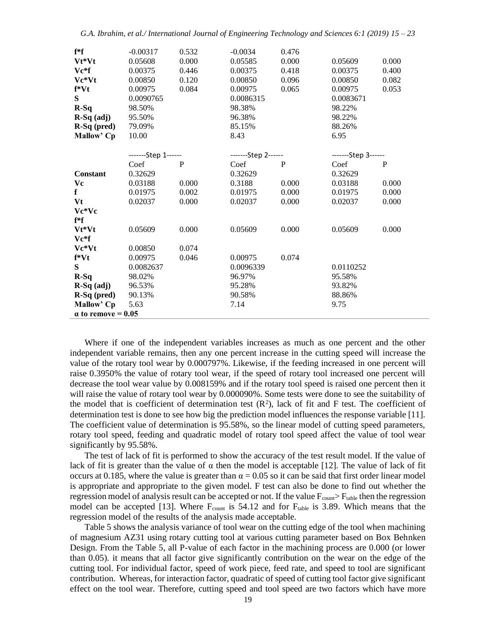| f*f                       | $-0.00317$          | 0.532 | $-0.0034$           | 0.476 |                     |       |
|---------------------------|---------------------|-------|---------------------|-------|---------------------|-------|
| Vt*Vt                     | 0.05608             | 0.000 | 0.05585             | 0.000 | 0.05609             | 0.000 |
| $Ve*f$                    | 0.00375             | 0.446 | 0.00375             | 0.418 | 0.00375             | 0.400 |
| Vc*Vt                     | 0.00850             | 0.120 | 0.00850             | 0.096 | 0.00850             | 0.082 |
| $f*Vt$                    | 0.00975             | 0.084 | 0.00975             | 0.065 | 0.00975             | 0.053 |
| S                         | 0.0090765           |       | 0.0086315           |       | 0.0083671           |       |
| $R-Sq$                    | 98.50%              |       | 98.38%              |       | 98.22%              |       |
| $R-Sq$ (adj)              | 95.50%              |       | 96.38%              |       | 98.22%              |       |
| $R-Sq$ (pred)             | 79.09%              |       | 85.15%              |       | 88.26%              |       |
| Mallow' Cp                | 10.00               |       | 8.43                |       | 6.95                |       |
|                           |                     |       |                     |       |                     |       |
|                           | -------Step 1------ |       | -------Step 2------ |       | -------Step 3------ |       |
|                           | Coef                | P     | Coef                | P     | Coef                | P     |
| <b>Constant</b>           | 0.32629             |       | 0.32629             |       | 0.32629             |       |
| Vc                        | 0.03188             | 0.000 | 0.3188              | 0.000 | 0.03188             | 0.000 |
| f                         | 0.01975             | 0.002 | 0.01975             | 0.000 | 0.01975             | 0.000 |
| Vt                        | 0.02037             | 0.000 | 0.02037             | 0.000 | 0.02037             | 0.000 |
| Vc*Vc                     |                     |       |                     |       |                     |       |
| $f*f$                     |                     |       |                     |       |                     |       |
| Vt*Vt                     | 0.05609             | 0.000 | 0.05609             | 0.000 | 0.05609             | 0.000 |
| $Vc*f$                    |                     |       |                     |       |                     |       |
| Vc*Vt                     | 0.00850             | 0.074 |                     |       |                     |       |
| $f*Vt$                    | 0.00975             | 0.046 | 0.00975             | 0.074 |                     |       |
| S                         | 0.0082637           |       | 0.0096339           |       | 0.0110252           |       |
| $R-Sq$                    | 98.02%              |       | 96.97%              |       | 95.58%              |       |
| $R-Sq$ (adj)              | 96.53%              |       | 95.28%              |       | 93.82%              |       |
| $R-Sq$ (pred)             | 90.13%              |       | 90.58%              |       | 88.86%              |       |
| Mallow' Cp                | 5.63                |       | 7.14                |       | 9.75                |       |
| $\alpha$ to remove = 0.05 |                     |       |                     |       |                     |       |

Where if one of the independent variables increases as much as one percent and the other independent variable remains, then any one percent increase in the cutting speed will increase the value of the rotary tool wear by 0.000797%. Likewise, if the feeding increased in one percent will raise 0.3950% the value of rotary tool wear, if the speed of rotary tool increased one percent will decrease the tool wear value by 0.008159% and if the rotary tool speed is raised one percent then it will raise the value of rotary tool wear by 0.000090%. Some tests were done to see the suitability of the model that is coefficient of determination test  $(R^2)$ , lack of fit and F test. The coefficient of determination test is done to see how big the prediction model influences the response variable [11]. The coefficient value of determination is 95.58%, so the linear model of cutting speed parameters, rotary tool speed, feeding and quadratic model of rotary tool speed affect the value of tool wear significantly by 95.58%.

The test of lack of fit is performed to show the accuracy of the test result model. If the value of lack of fit is greater than the value of  $\alpha$  then the model is acceptable [12]. The value of lack of fit occurs at 0.185, where the value is greater than  $\alpha = 0.05$  so it can be said that first order linear model is appropriate and appropriate to the given model. F test can also be done to find out whether the regression model of analysis result can be accepted or not. If the value  $F_{\text{count}} > F_{\text{table}}$  then the regression model can be accepted [13]. Where  $F_{count}$  is 54.12 and for  $F_{table}$  is 3.89. Which means that the regression model of the results of the analysis made acceptable.

Table 5 shows the analysis variance of tool wear on the cutting edge of the tool when machining of magnesium AZ31 using rotary cutting tool at various cutting parameter based on Box Behnken Design. From the Table 5, all P-value of each factor in the machining process are 0.000 (or lower than 0.05). it means that all factor give significantly contribution on the wear on the edge of the cutting tool. For individual factor, speed of work piece, feed rate, and speed to tool are significant contribution. Whereas, for interaction factor, quadratic of speed of cutting tool factor give significant effect on the tool wear. Therefore, cutting speed and tool speed are two factors which have more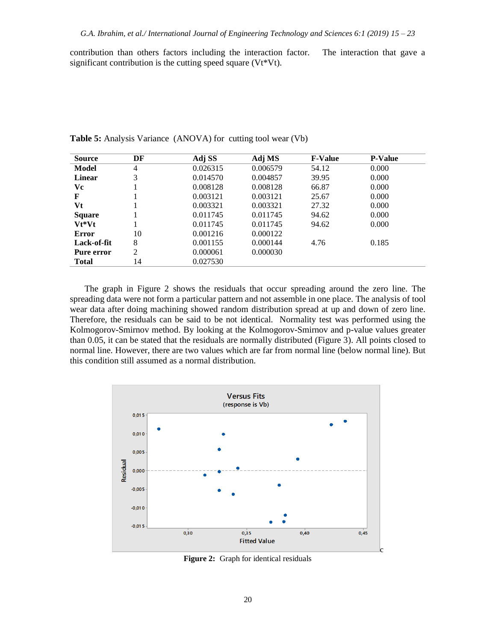contribution than others factors including the interaction factor. The interaction that gave a significant contribution is the cutting speed square (Vt\*Vt).

| <b>Source</b> | DF             | Adj SS   | Adj MS   | <b>F-Value</b> | <b>P-Value</b> |
|---------------|----------------|----------|----------|----------------|----------------|
| Model         | $\overline{4}$ | 0.026315 | 0.006579 | 54.12          | 0.000          |
| <b>Linear</b> | 3              | 0.014570 | 0.004857 | 39.95          | 0.000          |
| Vc            |                | 0.008128 | 0.008128 | 66.87          | 0.000          |
| F             |                | 0.003121 | 0.003121 | 25.67          | 0.000          |
| Vt            |                | 0.003321 | 0.003321 | 27.32          | 0.000          |
| <b>Square</b> |                | 0.011745 | 0.011745 | 94.62          | 0.000          |
| Vt*Vt         |                | 0.011745 | 0.011745 | 94.62          | 0.000          |
| Error         | 10             | 0.001216 | 0.000122 |                |                |
| Lack-of-fit   | 8              | 0.001155 | 0.000144 | 4.76           | 0.185          |
| Pure error    | 2              | 0.000061 | 0.000030 |                |                |
| <b>Total</b>  | 14             | 0.027530 |          |                |                |

**Table 5:** Analysis Variance (ANOVA) for cutting tool wear (Vb)

The graph in Figure 2 shows the residuals that occur spreading around the zero line. The spreading data were not form a particular pattern and not assemble in one place. The analysis of tool wear data after doing machining showed random distribution spread at up and down of zero line. Therefore, the residuals can be said to be not identical. Normality test was performed using the Kolmogorov-Smirnov method. By looking at the Kolmogorov-Smirnov and p-value values greater than 0.05, it can be stated that the residuals are normally distributed (Figure 3). All points closed to normal line. However, there are two values which are far from normal line (below normal line). But this condition still assumed as a normal distribution.



**Figure 2:** Graph for identical residuals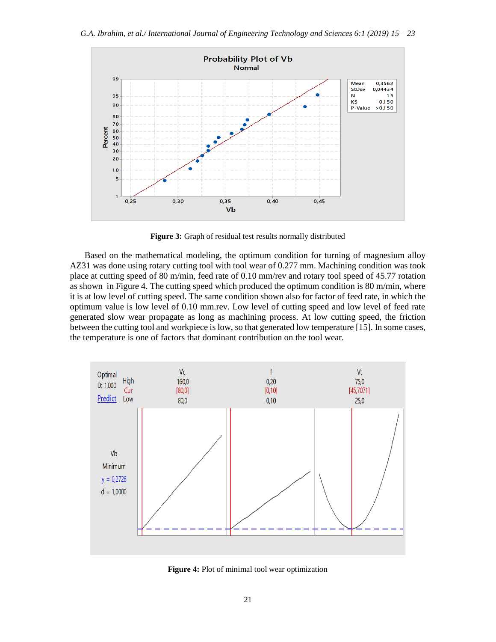

**Figure 3:** Graph of residual test results normally distributed

Based on the mathematical modeling, the optimum condition for turning of magnesium alloy AZ31 was done using rotary cutting tool with tool wear of 0.277 mm. Machining condition was took place at cutting speed of 80 m/min, feed rate of 0.10 mm/rev and rotary tool speed of 45.77 rotation as shown in Figure 4. The cutting speed which produced the optimum condition is 80 m/min, where it is at low level of cutting speed. The same condition shown also for factor of feed rate, in which the optimum value is low level of 0.10 mm.rev. Low level of cutting speed and low level of feed rate generated slow wear propagate as long as machining process. At low cutting speed, the friction between the cutting tool and workpiece is low, so that generated low temperature [15]. In some cases, the temperature is one of factors that dominant contribution on the tool wear.



**Figure 4:** Plot of minimal tool wear optimization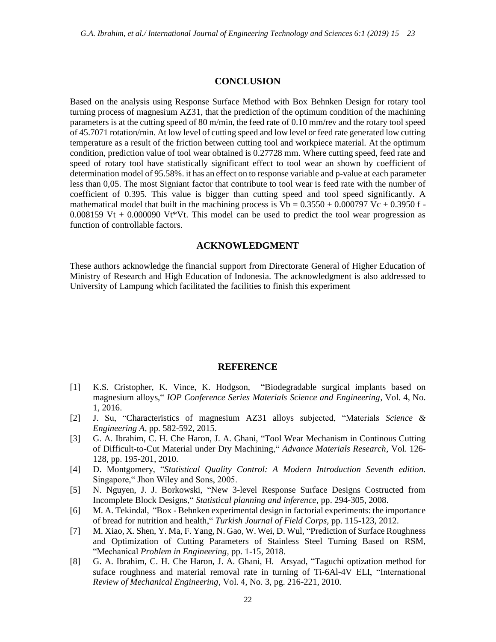#### **CONCLUSION**

Based on the analysis using Response Surface Method with Box Behnken Design for rotary tool turning process of magnesium AZ31, that the prediction of the optimum condition of the machining parameters is at the cutting speed of 80 m/min, the feed rate of 0.10 mm/rev and the rotary tool speed of 45.7071 rotation/min. At low level of cutting speed and low level or feed rate generated low cutting temperature as a result of the friction between cutting tool and workpiece material. At the optimum condition, prediction value of tool wear obtained is 0.27728 mm. Where cutting speed, feed rate and speed of rotary tool have statistically significant effect to tool wear an shown by coefficient of determination model of 95.58%. it has an effect on to response variable and p-value at each parameter less than 0,05. The most Signiant factor that contribute to tool wear is feed rate with the number of coefficient of 0.395. This value is bigger than cutting speed and tool speed significantly. A mathematical model that built in the machining process is  $Vb = 0.3550 + 0.000797$  Vc + 0.3950 f -0.008159 Vt + 0.000090 Vt\*Vt. This model can be used to predict the tool wear progression as function of controllable factors.

### **ACKNOWLEDGMENT**

These authors acknowledge the financial support from Directorate General of Higher Education of Ministry of Research and High Education of Indonesia. The acknowledgment is also addressed to University of Lampung which facilitated the facilities to finish this experiment

#### **REFERENCE**

- [1] K.S. Cristopher, K. Vince, K. Hodgson, "Biodegradable surgical implants based on magnesium alloys," *IOP Conference Series Materials Science and Engineering,* Vol. 4, No. 1, 2016.
- [2] J. Su, "Characteristics of magnesium AZ31 alloys subjected, "Materials *Science & Engineering A*, pp. 582-592, 2015.
- [3] G. A. Ibrahim, C. H. Che Haron, J. A. Ghani, "Tool Wear Mechanism in Continous Cutting of Difficult-to-Cut Material under Dry Machining," *Advance Materials Research,* Vol. 126- 128, pp. 195-201, 2010.
- [4] D. Montgomery, "*Statistical Quality Control: A Modern Introduction Seventh edition.* Singapore," Jhon Wiley and Sons, 2005.
- [5] N. Nguyen, J. J. Borkowski, "New 3-level Response Surface Designs Costructed from Incomplete Block Designs," *Statistical planning and inference*, pp. 294-305, 2008.
- [6] M. A. Tekindal, "Box Behnken experimental design in factorial experiments: the importance of bread for nutrition and health," *Turkish Journal of Field Corps,* pp. 115-123, 2012.
- [7] M. Xiao, X. Shen, Y. Ma, F. Yang, N. Gao, W. Wei, D. Wul, "Prediction of Surface Roughness and Optimization of Cutting Parameters of Stainless Steel Turning Based on RSM, "Mechanical *Problem in Engineering,* pp. 1-15, 2018.
- [8] G. A. Ibrahim, C. H. Che Haron, J. A. Ghani, H. Arsyad, "Taguchi optization method for suface roughness and material removal rate in turning of Ti-6Al-4V ELI, "International *Review of Mechanical Engineering*, Vol. 4, No. 3, pg. 216-221, 2010*.*